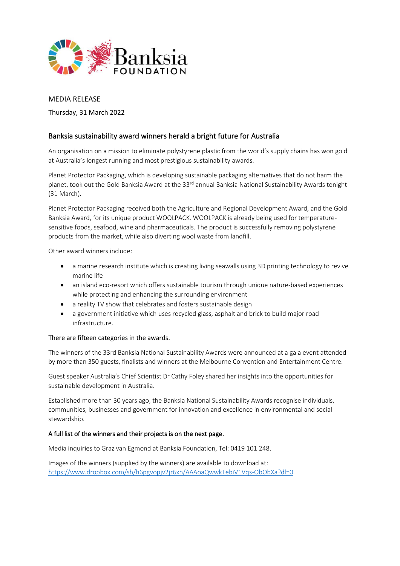

# MEDIA RELEASE

Thursday, 31 March 2022

# Banksia sustainability award winners herald a bright future for Australia

An organisation on a mission to eliminate polystyrene plastic from the world's supply chains has won gold at Australia's longest running and most prestigious sustainability awards.

Planet Protector Packaging, which is developing sustainable packaging alternatives that do not harm the planet, took out the Gold Banksia Award at the 33<sup>rd</sup> annual Banksia National Sustainability Awards tonight (31 March).

Planet Protector Packaging received both the Agriculture and Regional Development Award, and the Gold Banksia Award, for its unique product WOOLPACK. WOOLPACK is already being used for temperaturesensitive foods, seafood, wine and pharmaceuticals. The product is successfully removing polystyrene products from the market, while also diverting wool waste from landfill.

Other award winners include:

- a marine research institute which is creating living seawalls using 3D printing technology to revive marine life
- an island eco-resort which offers sustainable tourism through unique nature-based experiences while protecting and enhancing the surrounding environment
- a reality TV show that celebrates and fosters sustainable design
- a government initiative which uses recycled glass, asphalt and brick to build major road infrastructure.

### There are fifteen categories in the awards.

The winners of the 33rd Banksia National Sustainability Awards were announced at a gala event attended by more than 350 guests, finalists and winners at the Melbourne Convention and Entertainment Centre.

Guest speaker Australia's Chief Scientist Dr Cathy Foley shared her insights into the opportunities for sustainable development in Australia.

Established more than 30 years ago, the Banksia National Sustainability Awards recognise individuals, communities, businesses and government for innovation and excellence in environmental and social stewardship.

### A full list of the winners and their projects is on the next page.

Media inquiries to Graz van Egmond at Banksia Foundation, Tel: 0419 101 248.

Images of the winners (supplied by the winners) are available to download at: <https://www.dropbox.com/sh/h6pgvopjv2jr6xh/AAAoaQwwkTebiV1Vqs-ObObXa?dl=0>